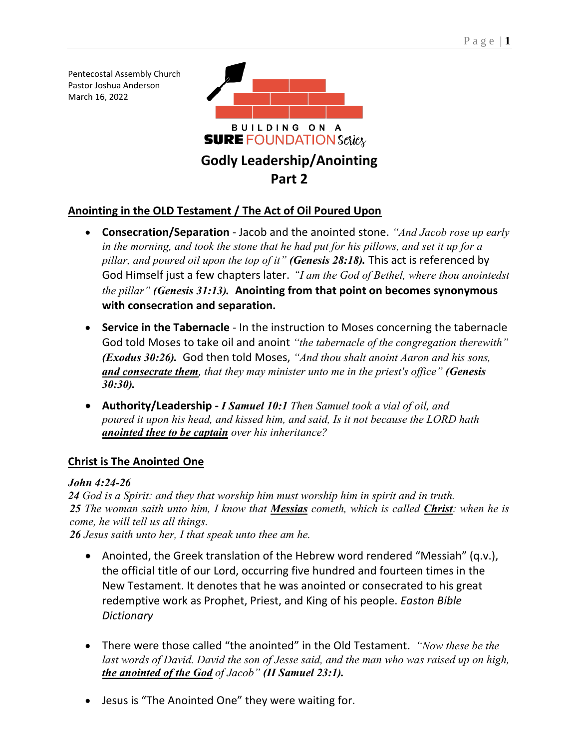Pentecostal Assembly Church Pastor Joshua Anderson March 16, 2022



# **Anointing in the OLD Testament / The Act of Oil Poured Upon**

- **Consecration/Separation** Jacob and the anointed stone. *"And Jacob rose up early in the morning, and took the stone that he had put for his pillows, and set it up for a pillar, and poured oil upon the top of it" (Genesis 28:18).* This act is referenced by God Himself just a few chapters later. "*I am the God of Bethel, where thou anointedst the pillar" (Genesis 31:13).* **Anointing from that point on becomes synonymous with consecration and separation.**
- **Service in the Tabernacle** In the instruction to Moses concerning the tabernacle God told Moses to take oil and anoint *"the tabernacle of the congregation therewith" (Exodus 30:26).* God then told Moses, *"And thou shalt anoint Aaron and his sons, and consecrate them, that they may minister unto me in the priest's office" (Genesis 30:30).*
- **Authority/Leadership -** *I Samuel 10:1 Then Samuel took a vial of oil, and poured it upon his head, and kissed him, and said, Is it not because the LORD hath anointed thee to be captain over his inheritance?*

# **Christ is The Anointed One**

## *John 4:24-26*

*24 God is a Spirit: and they that worship him must worship him in spirit and in truth. 25 The woman saith unto him, I know that Messias cometh, which is called Christ: when he is come, he will tell us all things.*

*26 Jesus saith unto her, I that speak unto thee am he.*

- Anointed, the Greek translation of the Hebrew word rendered "Messiah" (q.v.), the official title of our Lord, occurring five hundred and fourteen times in the New Testament. It denotes that he was anointed or consecrated to his great redemptive work as Prophet, Priest, and King of his people. *Easton Bible Dictionary*
- There were those called "the anointed" in the Old Testament. *"Now these be the last words of David. David the son of Jesse said, and the man who was raised up on high, the anointed of the God of Jacob" (II Samuel 23:1).*
- Jesus is "The Anointed One" they were waiting for.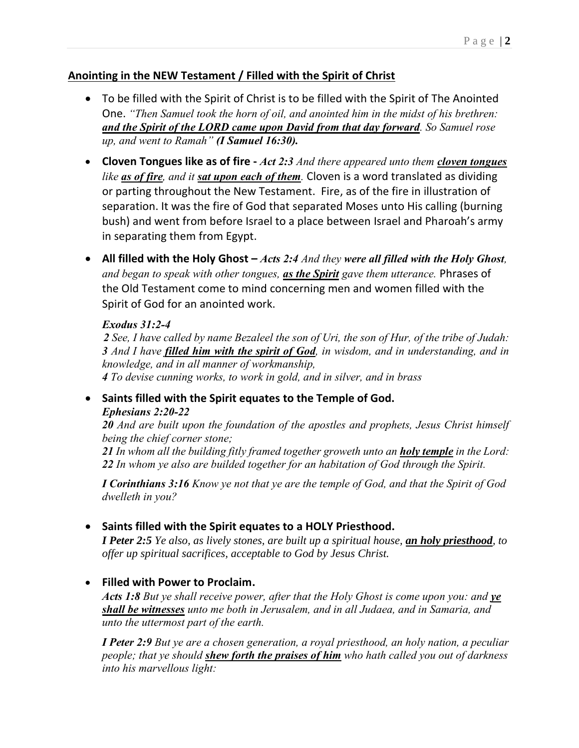## **Anointing in the NEW Testament / Filled with the Spirit of Christ**

- To be filled with the Spirit of Christ is to be filled with the Spirit of The Anointed One. *"Then Samuel took the horn of oil, and anointed him in the midst of his brethren: and the Spirit of the LORD came upon David from that day forward. So Samuel rose up, and went to Ramah" (I Samuel 16:30).*
- **Cloven Tongues like as of fire -** *[Act 2:3](verseid:44.2.3) And there appeared unto them cloven tongues like as of fire, and it sat upon each of them.* Cloven is a word translated as dividing or parting throughout the New Testament. Fire, as of the fire in illustration of separation. It was the fire of God that separated Moses unto His calling (burning bush) and went from before Israel to a place between Israel and Pharoah's army in separating them from Egypt.
- All filled with the Holy Ghost *Acts 2:4 And they were all filled with the Holy Ghost, and began to speak with other tongues, as the Spirit gave them utterance.* Phrases of the Old Testament come to mind concerning men and women filled with the Spirit of God for an anointed work.

#### *Exodus 31:2-4*

 *See, I have called by name Bezaleel the son of Uri, the son of Hur, of the tribe of Judah: And I have filled him with the spirit of God, in wisdom, and in understanding, and in knowledge, and in all manner of workmanship, To devise cunning works, to work in gold, and in silver, and in brass*

## • **Saints filled with the Spirit equates to the Temple of God.** *Ephesians 2:20-22*

*20 And are built upon the foundation of the apostles and prophets, Jesus Christ himself being the chief corner stone;*

*21 In whom all the building fitly framed together groweth unto an holy temple in the Lord: 22 In whom ye also are builded together for an habitation of God through the Spirit.*

*I Corinthians 3:16 Know ye not that ye are the temple of God, and that the Spirit of God dwelleth in you?*

## • **Saints filled with the Spirit equates to a HOLY Priesthood.**

*I Peter 2:5 Ye also, as lively stones, are built up a spiritual house, an holy priesthood, to offer up spiritual sacrifices, acceptable to God by Jesus Christ.*

## • **Filled with Power to Proclaim.**

*Acts 1:8 But ye shall receive power, after that the Holy Ghost is come upon you: and ye shall be witnesses unto me both in Jerusalem, and in all Judaea, and in Samaria, and unto the uttermost part of the earth.*

*I Peter 2:9 But ye are a chosen generation, a royal priesthood, an holy nation, a peculiar people; that ye should shew forth the praises of him who hath called you out of darkness into his marvellous light:*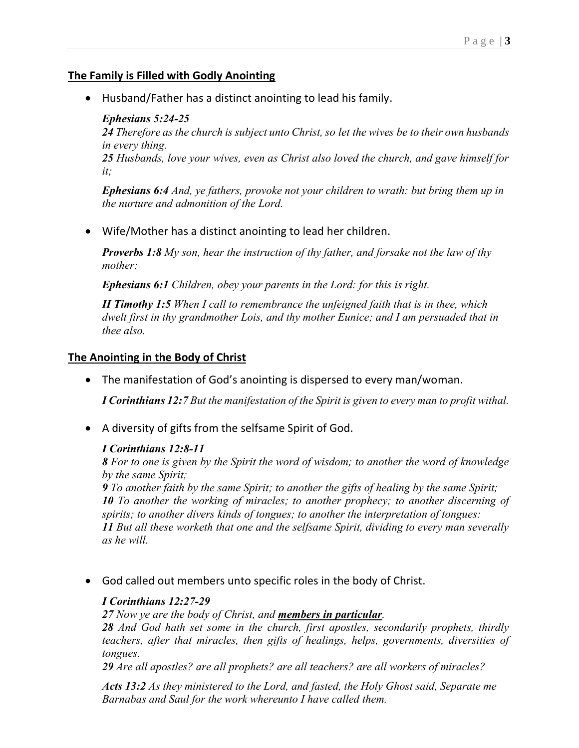#### **The Family is Filled with Godly Anointing**

• Husband/Father has a distinct anointing to lead his family.

#### *Ephesians 5:24-25*

*24 Therefore as the church is subject unto Christ, so let the wives be to their own husbands in every thing.*

*25 Husbands, love your wives, even as Christ also loved the church, and gave himself for it;*

*Ephesians 6:4 And, ye fathers, provoke not your children to wrath: but bring them up in the nurture and admonition of the Lord.*

• Wife/Mother has a distinct anointing to lead her children.

*Proverbs 1:8 My son, hear the instruction of thy father, and forsake not the law of thy mother:*

*Ephesians 6:1 Children, obey your parents in the Lord: for this is right.*

*II Timothy 1:5 When I call to remembrance the unfeigned faith that is in thee, which dwelt first in thy grandmother Lois, and thy mother Eunice; and I am persuaded that in thee also.*

## **The Anointing in the Body of Christ**

• The manifestation of God's anointing is dispersed to every man/woman.

*I Corinthians 12:7 But the manifestation of the Spirit is given to every man to profit withal.*

• A diversity of gifts from the selfsame Spirit of God.

#### *I Corinthians 12:8-11*

*8 For to one is given by the Spirit the word of wisdom; to another the word of knowledge by the same Spirit;*

*9 To another faith by the same Spirit; to another the gifts of healing by the same Spirit; 10 To another the working of miracles; to another prophecy; to another discerning of spirits; to another divers kinds of tongues; to another the interpretation of tongues: 11 But all these worketh that one and the selfsame Spirit, dividing to every man severally as he will.*

• God called out members unto specific roles in the body of Christ.

#### *I Corinthians 12:27-29*

*27 Now ye are the body of Christ, and members in particular.*

*28 And God hath set some in the church, first apostles, secondarily prophets, thirdly teachers, after that miracles, then gifts of healings, helps, governments, diversities of tongues.*

*29 Are all apostles? are all prophets? are all teachers? are all workers of miracles?*

*Acts 13:2 As they ministered to the Lord, and fasted, the Holy Ghost said, Separate me Barnabas and Saul for the work whereunto I have called them.*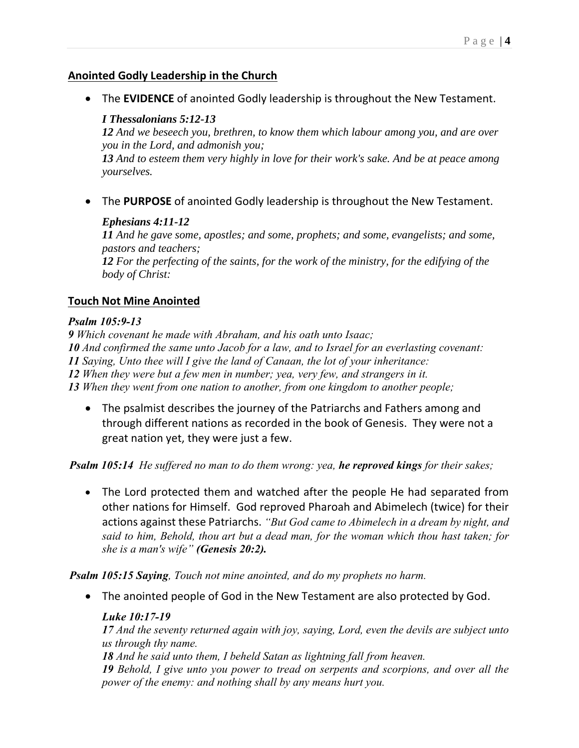#### **Anointed Godly Leadership in the Church**

• The **EVIDENCE** of anointed Godly leadership is throughout the New Testament.

## *I Thessalonians 5:12-13*

*12 And we beseech you, brethren, to know them which labour among you, and are over you in the Lord, and admonish you;*

*13 And to esteem them very highly in love for their work's sake. And be at peace among yourselves.*

• The **PURPOSE** of anointed Godly leadership is throughout the New Testament.

#### *Ephesians 4:11-12*

*11 And he gave some, apostles; and some, prophets; and some, evangelists; and some, pastors and teachers; 12 For the perfecting of the saints, for the work of the ministry, for the edifying of the body of Christ:*

## **Touch Not Mine Anointed**

#### *Psalm 105:9-13*

 *Which covenant he made with Abraham, and his oath unto Isaac; And confirmed the same unto Jacob for a law, and to Israel for an everlasting covenant: Saying, Unto thee will I give the land of Canaan, the lot of your inheritance: When they were but a few men in number; yea, very few, and strangers in it. When they went from one nation to another, from one kingdom to another people;*

• The psalmist describes the journey of the Patriarchs and Fathers among and through different nations as recorded in the book of Genesis. They were not a great nation yet, they were just a few.

*Psalm 105:14 He suffered no man to do them wrong: yea, he reproved kings for their sakes;*

• The Lord protected them and watched after the people He had separated from other nations for Himself. God reproved Pharoah and Abimelech (twice) for their actions against these Patriarchs. *"But God came to Abimelech in a dream by night, and said to him, Behold, thou art but a dead man, for the woman which thou hast taken; for she is a man's wife" (Genesis 20:2).*

*Psalm 105:15 Saying, Touch not mine anointed, and do my prophets no harm.*

• The anointed people of God in the New Testament are also protected by God.

#### *Luke 10:17-19*

*17 And the seventy returned again with joy, saying, Lord, even the devils are subject unto us through thy name.*

*18 And he said unto them, I beheld Satan as lightning fall from heaven.*

*19 Behold, I give unto you power to tread on serpents and scorpions, and over all the power of the enemy: and nothing shall by any means hurt you.*